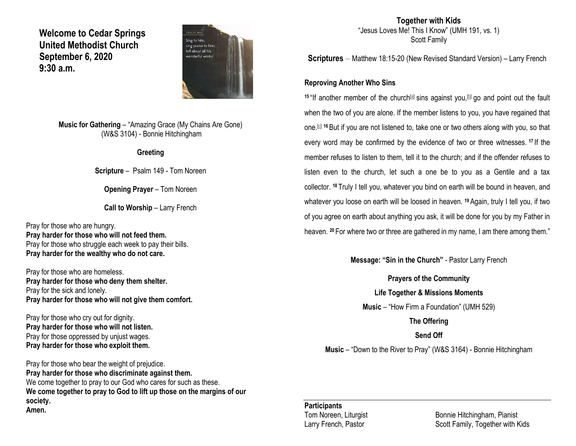**Welcome to Cedar Springs United Methodist Church September 6, 2020 9:30 a.m.** 



**Music for Gathering** – "Amazing Grace (My Chains Are Gone) (W&S 3104) - Bonnie Hitchingham

#### **Greeting**

**Scripture** – Psalm 149 - Tom Noreen

**Opening Prayer** – Tom Noreen

**Call to Worship – Larry French** 

Pray for those who are hungry. **Pray harder for those who will not feed them.** Pray for those who struggle each week to pay their bills. **Pray harder for the wealthy who do not care.**

Pray for those who are homeless. **Pray harder for those who deny them shelter.** Pray for the sick and lonely. **Pray harder for those who will not give them comfort.**

Pray for those who cry out for dignity. **Pray harder for those who will not listen.** Pray for those oppressed by unjust wages. **Pray harder for those who exploit them.**

Pray for those who bear the weight of prejudice. **Pray harder for those who discriminate against them.** We come together to pray to our God who cares for such as these. **We come together to pray to God to lift up those on the margins of our society. Amen.**

**Together with Kids** "Jesus Loves Me! This I Know" (UMH 191, vs. 1) Scott Family

**Scriptures** – Matthew 18:15-20 (New Revised Standard Version) – Larry French

### **Reproving Another Who Sins**

15 "If another member of the church<sup>[\[a\]](https://www.biblegateway.com/passage/?search=Matthew+18%3A15-20&version=NRSV#fen-NRSV-23741a)</sup> sins against you,<sup>[\[b\]](https://www.biblegateway.com/passage/?search=Matthew+18%3A15-20&version=NRSV#fen-NRSV-23741b)</sup> go and point out the fault when the two of you are alone. If the member listens to you, you have regained that one.[\[c\]](https://www.biblegateway.com/passage/?search=Matthew+18%3A15-20&version=NRSV#fen-NRSV-23741c) **<sup>16</sup>**But if you are not listened to, take one or two others along with you, so that every word may be confirmed by the evidence of two or three witnesses. **<sup>17</sup>** If the member refuses to listen to them, tell it to the church; and if the offender refuses to listen even to the church, let such a one be to you as a Gentile and a tax collector. **<sup>18</sup>** Truly I tell you, whatever you bind on earth will be bound in heaven, and whatever you loose on earth will be loosed in heaven. **<sup>19</sup>**Again, truly I tell you, if two of you agree on earth about anything you ask, it will be done for you by my Father in heaven. **<sup>20</sup>** For where two or three are gathered in my name, I am there among them."

**Message: "Sin in the Church"** - Pastor Larry French

**Prayers of the Community Life Together & Missions Moments Music** – "How Firm a Foundation" (UMH 529) **The Offering Send Off Music** – "Down to the River to Pray" (W&S 3164) - Bonnie Hitchingham

## **Participants**

Tom Noreen, Liturgist **Bonnie Hitchingham, Pianist** Larry French, Pastor Scott Family, Together with Kids